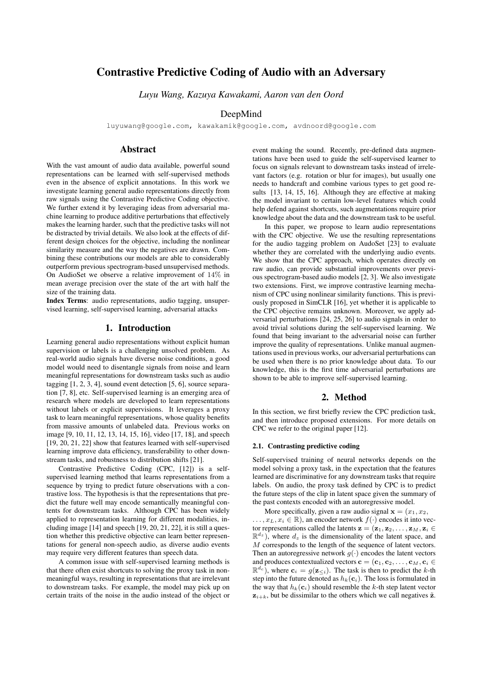# Contrastive Predictive Coding of Audio with an Adversary

*Luyu Wang, Kazuya Kawakami, Aaron van den Oord*

## DeepMind

luyuwang@google.com, kawakamik@google.com, avdnoord@google.com

## Abstract

With the vast amount of audio data available, powerful sound representations can be learned with self-supervised methods even in the absence of explicit annotations. In this work we investigate learning general audio representations directly from raw signals using the Contrastive Predictive Coding objective. We further extend it by leveraging ideas from adversarial machine learning to produce additive perturbations that effectively makes the learning harder, such that the predictive tasks will not be distracted by trivial details. We also look at the effects of different design choices for the objective, including the nonlinear similarity measure and the way the negatives are drawn. Combining these contributions our models are able to considerably outperform previous spectrogram-based unsupervised methods. On AudioSet we observe a relative improvement of 14% in mean average precision over the state of the art with half the size of the training data.

Index Terms: audio representations, audio tagging, unsupervised learning, self-supervised learning, adversarial attacks

### 1. Introduction

Learning general audio representations without explicit human supervision or labels is a challenging unsolved problem. As real-world audio signals have diverse noise conditions, a good model would need to disentangle signals from noise and learn meaningful representations for downstream tasks such as audio tagging [1, 2, 3, 4], sound event detection [5, 6], source separation [7, 8], etc. Self-supervised learning is an emerging area of research where models are developed to learn representations without labels or explicit supervisions. It leverages a proxy task to learn meaningful representations, whose quality benefits from massive amounts of unlabeled data. Previous works on image [9, 10, 11, 12, 13, 14, 15, 16], video [17, 18], and speech [19, 20, 21, 22] show that features learned with self-supervised learning improve data efficiency, transferability to other downstream tasks, and robustness to distribution shifts [21].

Contrastive Predictive Coding (CPC, [12]) is a selfsupervised learning method that learns representations from a sequence by trying to predict future observations with a contrastive loss. The hypothesis is that the representations that predict the future well may encode semantically meaningful contents for downstream tasks. Although CPC has been widely applied to representation learning for different modalities, including image [14] and speech [19, 20, 21, 22], it is still a question whether this predictive objective can learn better representations for general non-speech audio, as diverse audio events may require very different features than speech data.

A common issue with self-supervised learning methods is that there often exist shortcuts to solving the proxy task in nonmeaningful ways, resulting in representations that are irrelevant to downstream tasks. For example, the model may pick up on certain traits of the noise in the audio instead of the object or event making the sound. Recently, pre-defined data augmentations have been used to guide the self-supervised learner to focus on signals relevant to downstream tasks instead of irrelevant factors (e.g. rotation or blur for images), but usually one needs to handcraft and combine various types to get good results [13, 14, 15, 16]. Although they are effective at making the model invariant to certain low-level features which could help defend against shortcuts, such augmentations require prior knowledge about the data and the downstream task to be useful.

In this paper, we propose to learn audio representations with the CPC objective. We use the resulting representations for the audio tagging problem on AudoSet [23] to evaluate whether they are correlated with the underlying audio events. We show that the CPC approach, which operates directly on raw audio, can provide substantial improvements over previous spectrogram-based audio models [2, 3]. We also investigate two extensions. First, we improve contrastive learning mechanism of CPC using nonlinear similarity functions. This is previously proposed in SimCLR [16], yet whether it is applicable to the CPC objective remains unknown. Moreover, we apply adversarial perturbations [24, 25, 26] to audio signals in order to avoid trivial solutions during the self-supervised learning. We found that being invariant to the adversarial noise can further improve the quality of representations. Unlike manual augmentations used in previous works, our adversarial perturbations can be used when there is no prior knowledge about data. To our knowledge, this is the first time adversarial perturbations are shown to be able to improve self-supervised learning.

## 2. Method

In this section, we first briefly review the CPC prediction task, and then introduce proposed extensions. For more details on CPC we refer to the original paper [12].

#### 2.1. Contrasting predictive coding

Self-supervised training of neural networks depends on the model solving a proxy task, in the expectation that the features learned are discriminative for any downstream tasks that require labels. On audio, the proxy task defined by CPC is to predict the future steps of the clip in latent space given the summary of the past contexts encoded with an autoregressive model.

More specifically, given a raw audio signal  $\mathbf{x} = (x_1, x_2,$  $\dots, x_L, x_i \in \mathbb{R}$ , an encoder network  $f(\cdot)$  encodes it into vector representations called the latents  $z = (z_1, z_2, \ldots, z_M, z_i \in$  $\mathbb{R}^{d_z}$ ), where  $d_z$  is the dimensionality of the latent space, and M corresponds to the length of the sequence of latent vectors. Then an autoregressive network  $q(\cdot)$  encodes the latent vectors and produces contextualized vectors  $\mathbf{c} = (\mathbf{c}_1, \mathbf{c}_2, \dots, \mathbf{c}_M, \mathbf{c}_i \in$  $\mathbb{R}^{d_c}$ , where  $\mathbf{c}_i = g(\mathbf{z}_{\leq i})$ . The task is then to predict the k-th step into the future denoted as  $h_k(c_i)$ . The loss is formulated in the way that  $h_k(c_i)$  should resemble the k-th step latent vector  $z_{i+k}$ , but be dissimilar to the others which we call negatives  $\tilde{z}$ .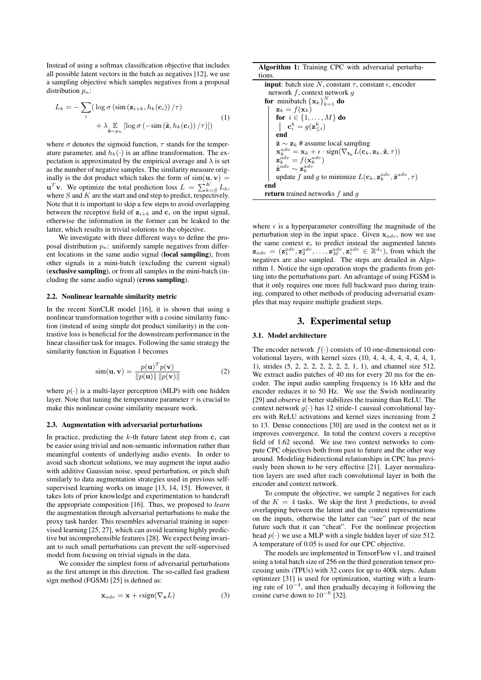Instead of using a softmax classification objective that includes all possible latent vectors in the batch as negatives [12], we use a sampling objective which samples negatives from a proposal distribution  $p_n$ :

$$
L_k = -\sum_{i} \left( \log \sigma \left( \sin \left( \mathbf{z}_{i+k}, h_k(\mathbf{c}_i) \right) / \tau \right) + \lambda \mathop{\mathbb{E}}_{\tilde{\mathbf{z}} \sim p_n} \left[ \log \sigma \left( -\sin \left( \tilde{\mathbf{z}}, h_k(\mathbf{c}_i) \right) / \tau \right) \right] \right)
$$
(1)

where  $\sigma$  denotes the sigmoid function,  $\tau$  stands for the temperature parameter, and  $h_k(\cdot)$  is an affine transformation. The expectation is approximated by the empirical average and  $\lambda$  is set as the number of negative samples. The similarity measure originally is the dot product which takes the form of  $sim(\mathbf{u}, \mathbf{v})$  =  $\mathbf{u}^T \mathbf{v}$ . We optimize the total prediction loss  $L = \sum_{k=S}^{K} L_k$ , where  $S$  and  $K$  are the start and end step to predict, respectively. Note that it is important to skip a few steps to avoid overlapping between the receptive field of  $z_{i+k}$  and  $c_i$  on the input signal, otherwise the information in the former can be leaked to the latter, which results in trivial solutions to the objective.

We investigate with three different ways to define the proposal distribution  $p_n$ : uniformly sample negatives from different locations in the same audio signal (local sampling), from other signals in a mini-batch (excluding the current signal) (exclusive sampling), or from all samples in the mini-batch (including the same audio signal) (cross sampling).

### 2.2. Nonlinear learnable similarity metric

In the recent SimCLR model [16], it is shown that using a nonlinear transformation together with a cosine similarity function (instead of using simple dot product similarity) in the contrastive loss is beneficial for the downstream performance in the linear classifier task for images. Following the same strategy the similarity function in Equation 1 becomes

$$
\text{sim}(\mathbf{u}, \mathbf{v}) = \frac{p(\mathbf{u})^T p(\mathbf{v})}{\|p(\mathbf{u})\| \|p(\mathbf{v})\|}
$$
(2)

where  $p(\cdot)$  is a multi-layer perceptron (MLP) with one hidden layer. Note that tuning the temperature parameter  $\tau$  is crucial to make this nonlinear cosine similarity measure work.

#### 2.3. Augmentation with adversarial perturbations

In practice, predicting the  $k$ -th future latent step from  $c_i$  can be easier using trivial and non-semantic information rather than meaningful contents of underlying audio events. In order to avoid such shortcut solutions, we may augment the input audio with additive Gaussian noise, speed perturbation, or pitch shift similarly to data augmentation strategies used in previous selfsupervised learning works on image [13, 14, 15]. However, it takes lots of prior knowledge and experimentation to handcraft the appropriate composition [16]. Thus, we proposed to *learn* the augmentation through adversarial perturbations to make the proxy task harder. This resembles adversarial training in supervised learning [25, 27], which can avoid learning highly predictive but incomprehensible features [28]. We expect being invariant to such small perturbations can prevent the self-supervised model from focusing on trivial signals in the data.

We consider the simplest form of adversarial perturbations as the first attempt in this direction. The so-called fast gradient sign method (FGSM) [25] is defined as:

$$
\mathbf{x}_{adv} = \mathbf{x} + \epsilon \text{sign}(\nabla_{\mathbf{x}} L) \tag{3}
$$

| <b>Algorithm 1:</b> Training CPC with adversarial perturba-                                                                                        |  |  |  |  |
|----------------------------------------------------------------------------------------------------------------------------------------------------|--|--|--|--|
| tions.                                                                                                                                             |  |  |  |  |
| <b>input</b> : batch size N, constant $\tau$ , constant $\epsilon$ , encoder                                                                       |  |  |  |  |
| network $f$ , context network $q$                                                                                                                  |  |  |  |  |
| <b>for</b> minibatch $\{x_k\}_{k=1}^N$ <b>do</b>                                                                                                   |  |  |  |  |
| $\mathbf{z}_k = f(\mathbf{x}_k)$                                                                                                                   |  |  |  |  |
| for $i \in \{1, , M\}$ do                                                                                                                          |  |  |  |  |
| $\mathbf{c}_i^k = g(\mathbf{z}_{\leq i}^k)$                                                                                                        |  |  |  |  |
| end                                                                                                                                                |  |  |  |  |
| $\tilde{\mathbf{z}} \sim \mathbf{z}_k$ # assume local sampling                                                                                     |  |  |  |  |
| $\mathbf{x}_{k}^{adv} = \mathbf{x}_{k} + \epsilon \cdot sign(\nabla_{\mathbf{x}_{k}} L(\mathbf{c}_{k}, \mathbf{z}_{k}, \tilde{\mathbf{z}}, \tau))$ |  |  |  |  |
| $\mathbf{z}_k^{adv} = f(\mathbf{x}_k^{adv})$                                                                                                       |  |  |  |  |
| $\tilde{\mathbf{z}}^{adv} \sim \mathbf{z}_{k}^{adv}$                                                                                               |  |  |  |  |
| update f and g to minimize $L(c_k, \mathbf{z}_k^{adv}, \tilde{\mathbf{z}}^{adv}, \tau)$                                                            |  |  |  |  |
| end                                                                                                                                                |  |  |  |  |
| <b>return</b> trained networks $f$ and $q$                                                                                                         |  |  |  |  |

where  $\epsilon$  is a hyperparameter controlling the magnitude of the perturbation step in the input space. Given  $x_{adv}$ , now we use the same context  $c_i$  to predict instead the augmented latents  $\mathbf{z}_{adv} = (\mathbf{z}_1^{adv}, \mathbf{z}_2^{adv}, \dots, \mathbf{z}_M^{adv}, \mathbf{z}_i^{adv} \in \mathbb{R}^{d_z})$ , from which the negatives are also sampled. The steps are detailed in Algorithm 1. Notice the sign operation stops the gradients from getting into the perturbations part. An advantage of using FGSM is that it only requires one more full backward pass during training, compared to other methods of producing adversarial examples that may require multiple gradient steps.

## 3. Experimental setup

#### 3.1. Model architecture

The encoder network  $f(\cdot)$  consists of 10 one-dimensional convolutional layers, with kernel sizes (10, 4, 4, 4, 4, 4, 4, 4, 1, 1), strides (5, 2, 2, 2, 2, 2, 2, 2, 1, 1), and channel size 512. We extract audio patches of 40 ms for every 20 ms for the encoder. The input audio sampling frequency is 16 kHz and the encoder reduces it to 50 Hz. We use the Swish nonlinearity [29] and observe it better stabilizes the training than ReLU. The context network  $g(\cdot)$  has 12 stride-1 causual convolutional layers with ReLU activations and kernel sizes increasing from 2 to 13. Dense connections [30] are used in the context net as it improves convergence. In total the context covers a receptive field of 1.62 second. We use two context networks to compute CPC objectives both from past to future and the other way around. Modeling bidirectional relationships in CPC has previously been shown to be very effective [21]. Layer normalization layers are used after each convolutional layer in both the encoder and context network.

To compute the objective, we sample 2 negatives for each of the  $K = 4$  tasks. We skip the first 3 predictions, to avoid overlapping between the latent and the context representations on the inputs, otherwise the latter can "see" part of the near future such that it can "cheat". For the nonlinear projection head  $p(\cdot)$  we use a MLP with a single hidden layer of size 512. A temperature of 0.05 is used for our CPC objective.

The models are implemented in TensorFlow v1, and trained using a total batch size of 256 on the third generation tensor processing units (TPUs) with 32 cores for up to 400k steps. Adam optimizer [31] is used for optimization, starting with a learning rate of 10<sup>−</sup><sup>4</sup> , and then gradually decaying it following the cosine curve down to  $10^{-6}$  [32].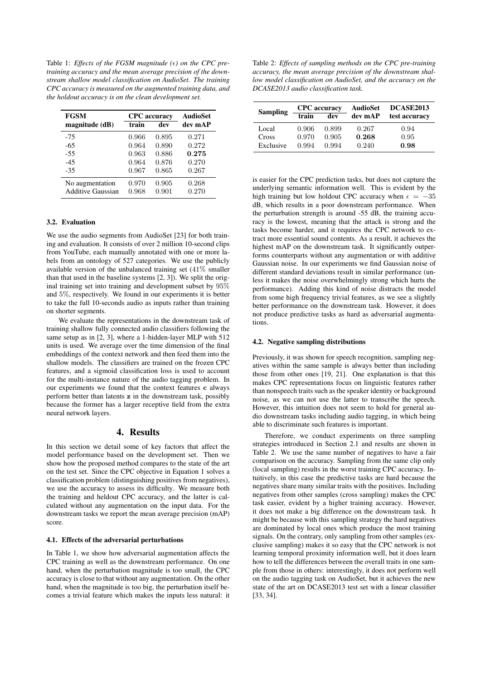Table 1: *Effects of the FGSM magnitude () on the CPC pretraining accuracy and the mean average precision of the downstream shallow model classification on AudioSet. The training CPC accuracy is measured on the augmented training data, and the holdout accuracy is on the clean development set.*

| <b>FGSM</b>              |       | <b>CPC</b> accuracy | <b>AudioSet</b> |
|--------------------------|-------|---------------------|-----------------|
| magnitude (dB)           | train | dev                 | dev mAP         |
| $-75$                    | 0.966 | 0.895               | 0.271           |
| $-65$                    | 0.964 | 0.890               | 0.272           |
| $-55$                    | 0.963 | 0.886               | 0.275           |
| $-4.5$                   | 0.964 | 0.876               | 0.270           |
| $-35$                    | 0.967 | 0.865               | 0.267           |
| No augmentation          | 0.970 | 0.905               | 0.268           |
| <b>Additive Gaussian</b> | 0.968 | 0.901               | 0.270           |

#### 3.2. Evaluation

We use the audio segments from AudioSet [23] for both training and evaluation. It consists of over 2 million 10-second clips from YouTube, each manually annotated with one or more labels from an ontology of 527 categories. We use the publicly available version of the unbalanced training set (41% smaller than that used in the baseline systems [2, 3]). We split the original training set into training and development subset by 95% and 5%, respectively. We found in our experiments it is better to take the full 10-seconds audio as inputs rather than training on shorter segments.

We evaluate the representations in the downstream task of training shallow fully connected audio classifiers following the same setup as in [2, 3], where a 1-hidden-layer MLP with 512 units is used. We average over the time dimension of the final embeddings of the context network and then feed them into the shallow models. The classifiers are trained on the frozen CPC features, and a sigmoid classification loss is used to account for the multi-instance nature of the audio tagging problem. In our experiments we found that the context features c always perform better than latents z in the downstream task, possibly because the former has a larger receptive field from the extra neural network layers.

## 4. Results

In this section we detail some of key factors that affect the model performance based on the development set. Then we show how the proposed method compares to the state of the art on the test set. Since the CPC objective in Equation 1 solves a classification problem (distinguishing positives from negatives), we use the accuracy to assess its difficulty. We measure both the training and heldout CPC accuracy, and the latter is calculated without any augmentation on the input data. For the downstream tasks we report the mean average precision (mAP) score.

#### 4.1. Effects of the adversarial perturbations

In Table 1, we show how adversarial augmentation affects the CPC training as well as the downstream performance. On one hand, when the perturbation magnitude is too small, the CPC accuracy is close to that without any augmentation. On the other hand, when the magnitude is too big, the perturbation itself becomes a trivial feature which makes the inputs less natural: it

Table 2: *Effects of sampling methods on the CPC pre-training accuracy, the mean average precision of the downstream shallow model classification on AudioSet, and the accuracy on the DCASE2013 audio classification task.*

| <b>Sampling</b> | <b>CPC</b> accuracy<br>train<br>dev |       | AudioSet<br>dev mAP | <b>DCASE2013</b><br>test accuracy |
|-----------------|-------------------------------------|-------|---------------------|-----------------------------------|
| Local           | 0.906                               | 0.899 | 0.267               | 0.94                              |
| Cross           | 0.970                               | 0.905 | 0.268               | 0.95                              |
| Exclusive       | 0.994                               | 0.994 | 0.240               | 0.98                              |

is easier for the CPC prediction tasks, but does not capture the underlying semantic information well. This is evident by the high training but low holdout CPC accuracy when  $\epsilon = -35$ dB, which results in a poor downstream performance. When the perturbation strength is around -55 dB, the training accuracy is the lowest, meaning that the attack is strong and the tasks become harder, and it requires the CPC network to extract more essential sound contents. As a result, it achieves the highest mAP on the downstream task. It significantly outperforms counterparts without any augmentation or with additive Gaussian noise. In our experiments we find Gaussian noise of different standard deviations result in similar performance (unless it makes the noise overwhelmingly strong which hurts the performance). Adding this kind of noise distracts the model from some high frequency trivial features, as we see a slightly better performance on the downstream task. However, it does not produce predictive tasks as hard as adversarial augmentations.

#### 4.2. Negative sampling distributions

Previously, it was shown for speech recognition, sampling negatives within the same sample is always better than including those from other ones [19, 21]. One explanation is that this makes CPC representations focus on linguistic features rather than nonspeech traits such as the speaker identity or background noise, as we can not use the latter to transcribe the speech. However, this intuition does not seem to hold for general audio downstream tasks including audio tagging, in which being able to discriminate such features is important.

Therefore, we conduct experiments on three sampling strategies introduced in Section 2.1 and results are shown in Table 2. We use the same number of negatives to have a fair comparison on the accuracy. Sampling from the same clip only (local sampling) results in the worst training CPC accuracy. Intuitively, in this case the predictive tasks are hard because the negatives share many similar traits with the positives. Including negatives from other samples (cross sampling) makes the CPC task easier, evident by a higher training accuracy. However, it does not make a big difference on the downstream task. It might be because with this sampling strategy the hard negatives are dominated by local ones which produce the most training signals. On the contrary, only sampling from other samples (exclusive sampling) makes it so easy that the CPC network is not learning temporal proximity information well, but it does learn how to tell the differences between the overall traits in one sample from those in others: interestingly, it does not perform well on the audio tagging task on AudioSet, but it achieves the new state of the art on DCASE2013 test set with a linear classifier [33, 34].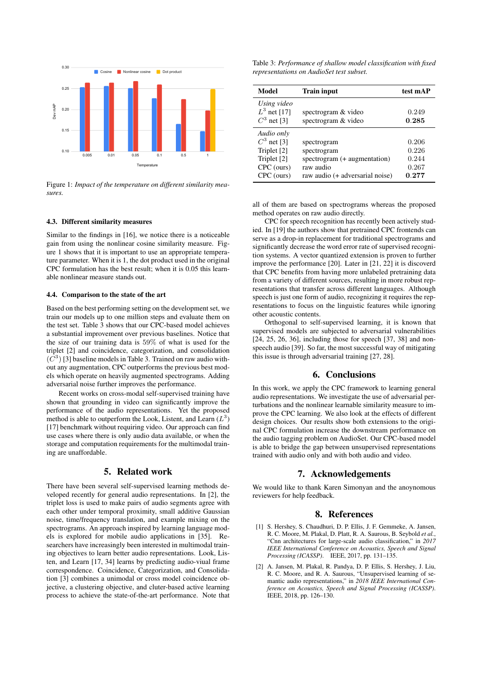

Figure 1: *Impact of the temperature on different similarity measures.*

#### 4.3. Different similarity measures

Similar to the findings in [16], we notice there is a noticeable gain from using the nonlinear cosine similarity measure. Figure 1 shows that it is important to use an appropriate temperature parameter. When it is 1, the dot product used in the original CPC formulation has the best result; when it is 0.05 this learnable nonlinear measure stands out.

### 4.4. Comparison to the state of the art

Based on the best performing setting on the development set, we train our models up to one million steps and evaluate them on the test set. Table 3 shows that our CPC-based model achieves a substantial improvement over previous baselines. Notice that the size of our training data is 59% of what is used for the triplet [2] and coincidence, categorization, and consolidation  $(\overline{C}^3)$  [3] baseline models in Table 3. Trained on raw audio without any augmentation, CPC outperforms the previous best models which operate on heavily augmented spectrograms. Adding adversarial noise further improves the performance.

Recent works on cross-modal self-supervised training have shown that grounding in video can significantly improve the performance of the audio representations. Yet the proposed method is able to outperform the Look, Listent, and Learn  $(L^3)$ [17] benchmark without requiring video. Our approach can find use cases where there is only audio data available, or when the storage and computation requirements for the multimodal training are unaffordable.

## 5. Related work

There have been several self-supervised learning methods developed recently for general audio representations. In [2], the triplet loss is used to make pairs of audio segments agree with each other under temporal proximity, small additive Gaussian noise, time/frequency translation, and example mixing on the spectrograms. An approach inspired by learning language models is explored for mobile audio applications in [35]. Researchers have increasingly been interested in multimodal training objectives to learn better audio representations. Look, Listen, and Learn [17, 34] learns by predicting audio-viual frame correspondence. Coincidence, Categorization, and Consolidation [3] combines a unimodal or cross model coincidence objective, a clustering objective, and cluter-based active learning process to achieve the state-of-the-art performance. Note that

Table 3: *Performance of shallow model classification with fixed representations on AudioSet test subset.*

| Model                                                                                 | <b>Train input</b>                                                                                         | test mAP                                  |
|---------------------------------------------------------------------------------------|------------------------------------------------------------------------------------------------------------|-------------------------------------------|
| Using video<br>$L^3$ net [17]<br>$C^3$ net [3]                                        | spectrogram & video<br>spectrogram & video                                                                 | 0.249<br>0.285                            |
| Audio only<br>$C^3$ net [3]<br>Triplet [2]<br>Triplet [2]<br>CPC (ours)<br>CPC (ours) | spectrogram<br>spectrogram<br>spectrogram (+ augmentation)<br>raw audio<br>raw audio (+ adversarial noise) | 0.206<br>0.226<br>0.244<br>0.267<br>0.277 |

all of them are based on spectrograms whereas the proposed method operates on raw audio directly.

CPC for speech recognition has recently been actively studied. In [19] the authors show that pretrained CPC frontends can serve as a drop-in replacement for traditional spectrograms and significantly decrease the word error rate of supervised recognition systems. A vector quantized extension is proven to further improve the performance [20]. Later in [21, 22] it is discoverd that CPC benefits from having more unlabeled pretraining data from a variety of different sources, resulting in more robust representations that transfer across different languages. Although speech is just one form of audio, recognizing it requires the representations to focus on the linguistic features while ignoring other acoustic contents.

Orthogonal to self-supervised learning, it is known that supervised models are subjected to adversarial vulnerabilities [24, 25, 26, 36], including those for speech [37, 38] and nonspeech audio [39]. So far, the most successful way of mitigating this issue is through adversarial training [27, 28].

## 6. Conclusions

In this work, we apply the CPC framework to learning general audio representations. We investigate the use of adversarial perturbations and the nonlinear learnable similarity measure to improve the CPC learning. We also look at the effects of different design choices. Our results show both extensions to the original CPC formulation increase the downstream performance on the audio tagging problem on AudioSet. Our CPC-based model is able to bridge the gap between unsupervised representations trained with audio only and with both audio and video.

## 7. Acknowledgements

We would like to thank Karen Simonyan and the anoynomous reviewers for help feedback.

## 8. References

- [1] S. Hershey, S. Chaudhuri, D. P. Ellis, J. F. Gemmeke, A. Jansen, R. C. Moore, M. Plakal, D. Platt, R. A. Saurous, B. Seybold *et al.*, "Cnn architectures for large-scale audio classification," in *2017 IEEE International Conference on Acoustics, Speech and Signal Processing (ICASSP)*. IEEE, 2017, pp. 131–135.
- [2] A. Jansen, M. Plakal, R. Pandya, D. P. Ellis, S. Hershey, J. Liu, R. C. Moore, and R. A. Saurous, "Unsupervised learning of semantic audio representations," in *2018 IEEE International Conference on Acoustics, Speech and Signal Processing (ICASSP)*. IEEE, 2018, pp. 126–130.